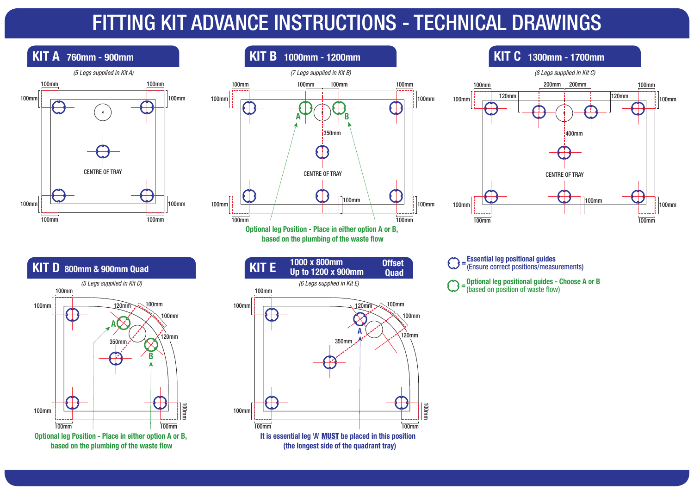#### FITTING KIT ADVANCE INSTRUCTIONS - TECHNICAL DRAWINGS **100**

CENTRE OF TRAY

 $\mathcal{L}$ 

100mm

120mm

100mm

120mm

100mm



(Ensure correct positions/measurements) **<sup>=</sup> Optional leg positional guides - Choose A or B** 

(Ensure correct positions/measurements) **<sup>=</sup> Optional leg positional guides - Choose A or B** 

(based on position of waste flow) **<sup>=</sup>**

(based on position of waste flow) **<sup>=</sup>**